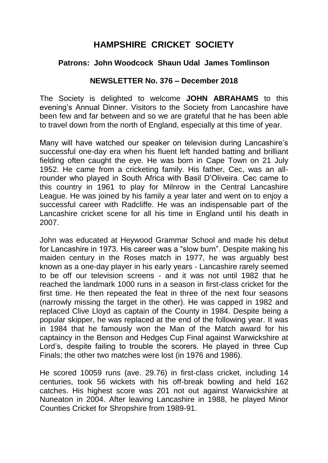# **HAMPSHIRE CRICKET SOCIETY**

### **Patrons: John Woodcock Shaun Udal James Tomlinson**

#### **NEWSLETTER No. 376 – December 2018**

The Society is delighted to welcome **JOHN ABRAHAMS** to this evening's Annual Dinner. Visitors to the Society from Lancashire have been few and far between and so we are grateful that he has been able to travel down from the north of England, especially at this time of year.

Many will have watched our speaker on television during Lancashire's successful one-day era when his fluent left handed batting and brilliant fielding often caught the eye. He was born in Cape Town on 21 July 1952. He came from a cricketing family. His father, Cec, was an allrounder who played in South Africa with Basil D'Oliveira. Cec came to this country in 1961 to play for Milnrow in the Central Lancashire League. He was joined by his family a year later and went on to enjoy a successful career with Radcliffe. He was an indispensable part of the Lancashire cricket scene for all his time in England until his death in 2007.

John was educated at Heywood Grammar School and made his debut for Lancashire in 1973. His career was a "slow burn". Despite making his maiden century in the Roses match in 1977, he was arguably best known as a one-day player in his early years - Lancashire rarely seemed to be off our television screens - and it was not until 1982 that he reached the landmark 1000 runs in a season in first-class cricket for the first time. He then repeated the feat in three of the next four seasons (narrowly missing the target in the other). He was capped in 1982 and replaced Clive Lloyd as captain of the County in 1984. Despite being a popular skipper, he was replaced at the end of the following year. It was in 1984 that he famously won the Man of the Match award for his captaincy in the Benson and Hedges Cup Final against Warwickshire at Lord's, despite failing to trouble the scorers. He played in three Cup Finals; the other two matches were lost (in 1976 and 1986).

He scored 10059 runs (ave. 29.76) in first-class cricket, including 14 centuries, took 56 wickets with his off-break bowling and held 162 catches. His highest score was 201 not out against Warwickshire at Nuneaton in 2004. After leaving Lancashire in 1988, he played Minor Counties Cricket for Shropshire from 1989-91.